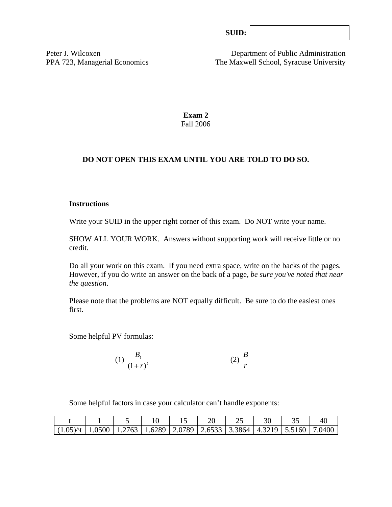| SUB: |  |
|------|--|
|      |  |

Peter J. Wilcoxen Department of Public Administration PPA 723, Managerial Economics The Maxwell School, Syracuse University

> **Exam 2**  Fall 2006

## **DO NOT OPEN THIS EXAM UNTIL YOU ARE TOLD TO DO SO.**

#### **Instructions**

Write your SUID in the upper right corner of this exam. Do NOT write your name.

SHOW ALL YOUR WORK. Answers without supporting work will receive little or no credit.

Do all your work on this exam. If you need extra space, write on the backs of the pages. However, if you do write an answer on the back of a page, *be sure you've noted that near the question*.

Please note that the problems are NOT equally difficult. Be sure to do the easiest ones first.

Some helpful PV formulas:

$$
(1) \frac{B_r}{(1+r)^t} \tag{2} \frac{B}{r}
$$

Some helpful factors in case your calculator can't handle exponents:

| $(1.05)$ (t   1.0500   1.2763   1.6289   2.0789   2.6533   3.3864   4.3219   5.5160   7.0400 |  |  |  |  |  |
|----------------------------------------------------------------------------------------------|--|--|--|--|--|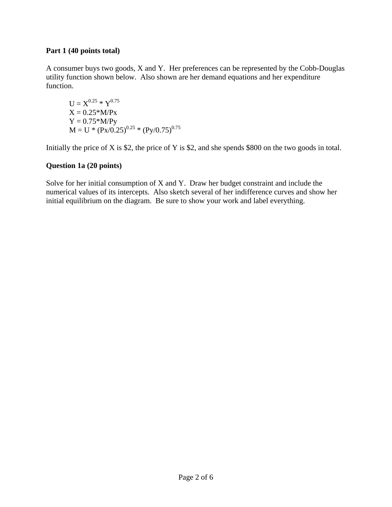#### **Part 1 (40 points total)**

A consumer buys two goods, X and Y. Her preferences can be represented by the Cobb-Douglas utility function shown below. Also shown are her demand equations and her expenditure function.

$$
U = X^{0.25} * Y^{0.75}
$$
  
\n
$$
X = 0.25 * M/Px
$$
  
\n
$$
Y = 0.75 * M/Py
$$
  
\n
$$
M = U * (Px/0.25)^{0.25} * (Py/0.75)^{0.75}
$$

Initially the price of X is \$2, the price of Y is \$2, and she spends \$800 on the two goods in total.

# **Question 1a (20 points)**

Solve for her initial consumption of X and Y. Draw her budget constraint and include the numerical values of its intercepts. Also sketch several of her indifference curves and show her initial equilibrium on the diagram. Be sure to show your work and label everything.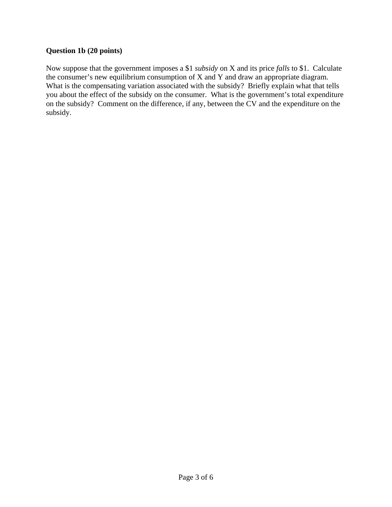## **Question 1b (20 points)**

Now suppose that the government imposes a \$1 *subsidy* on X and its price *falls* to \$1. Calculate the consumer's new equilibrium consumption of X and Y and draw an appropriate diagram. What is the compensating variation associated with the subsidy? Briefly explain what that tells you about the effect of the subsidy on the consumer. What is the government's total expenditure on the subsidy? Comment on the difference, if any, between the CV and the expenditure on the subsidy.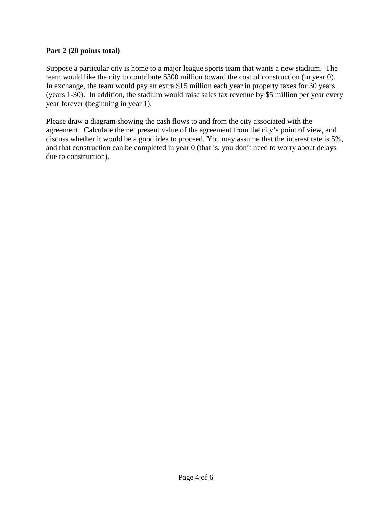### **Part 2 (20 points total)**

Suppose a particular city is home to a major league sports team that wants a new stadium. The team would like the city to contribute \$300 million toward the cost of construction (in year 0). In exchange, the team would pay an extra \$15 million each year in property taxes for 30 years (years 1-30). In addition, the stadium would raise sales tax revenue by \$5 million per year every year forever (beginning in year 1).

Please draw a diagram showing the cash flows to and from the city associated with the agreement. Calculate the net present value of the agreement from the city's point of view, and discuss whether it would be a good idea to proceed. You may assume that the interest rate is 5%, and that construction can be completed in year 0 (that is, you don't need to worry about delays due to construction).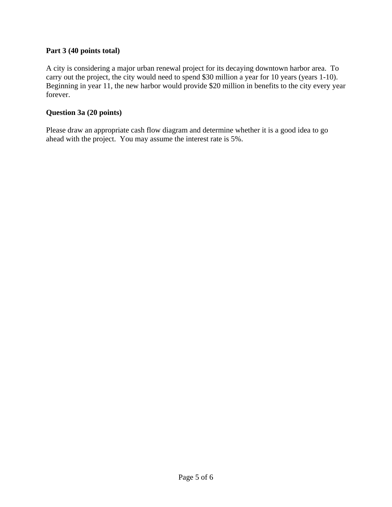#### **Part 3 (40 points total)**

A city is considering a major urban renewal project for its decaying downtown harbor area. To carry out the project, the city would need to spend \$30 million a year for 10 years (years 1-10). Beginning in year 11, the new harbor would provide \$20 million in benefits to the city every year forever.

#### **Question 3a (20 points)**

Please draw an appropriate cash flow diagram and determine whether it is a good idea to go ahead with the project. You may assume the interest rate is 5%.